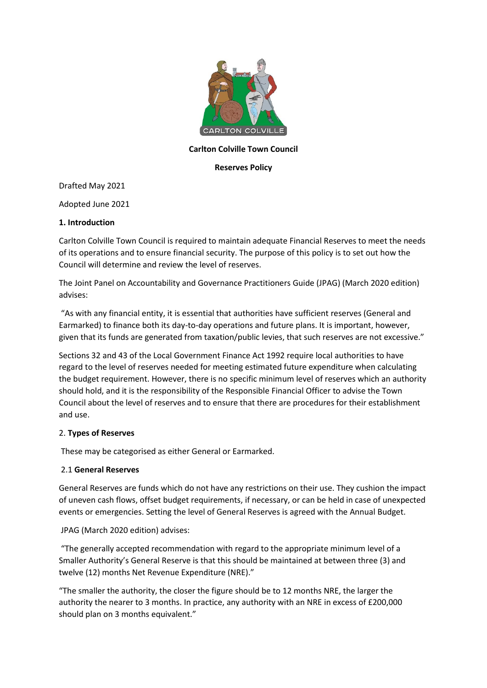

## **Carlton Colville Town Council**

#### **Reserves Policy**

Drafted May 2021

Adopted June 2021

## **1. Introduction**

Carlton Colville Town Council is required to maintain adequate Financial Reserves to meet the needs of its operations and to ensure financial security. The purpose of this policy is to set out how the Council will determine and review the level of reserves.

The Joint Panel on Accountability and Governance Practitioners Guide (JPAG) (March 2020 edition) advises:

"As with any financial entity, it is essential that authorities have sufficient reserves (General and Earmarked) to finance both its day-to-day operations and future plans. It is important, however, given that its funds are generated from taxation/public levies, that such reserves are not excessive."

Sections 32 and 43 of the Local Government Finance Act 1992 require local authorities to have regard to the level of reserves needed for meeting estimated future expenditure when calculating the budget requirement. However, there is no specific minimum level of reserves which an authority should hold, and it is the responsibility of the Responsible Financial Officer to advise the Town Council about the level of reserves and to ensure that there are procedures for their establishment and use.

# 2. **Types of Reserves**

These may be categorised as either General or Earmarked.

#### 2.1 **General Reserves**

General Reserves are funds which do not have any restrictions on their use. They cushion the impact of uneven cash flows, offset budget requirements, if necessary, or can be held in case of unexpected events or emergencies. Setting the level of General Reserves is agreed with the Annual Budget.

# JPAG (March 2020 edition) advises:

"The generally accepted recommendation with regard to the appropriate minimum level of a Smaller Authority's General Reserve is that this should be maintained at between three (3) and twelve (12) months Net Revenue Expenditure (NRE)."

"The smaller the authority, the closer the figure should be to 12 months NRE, the larger the authority the nearer to 3 months. In practice, any authority with an NRE in excess of £200,000 should plan on 3 months equivalent."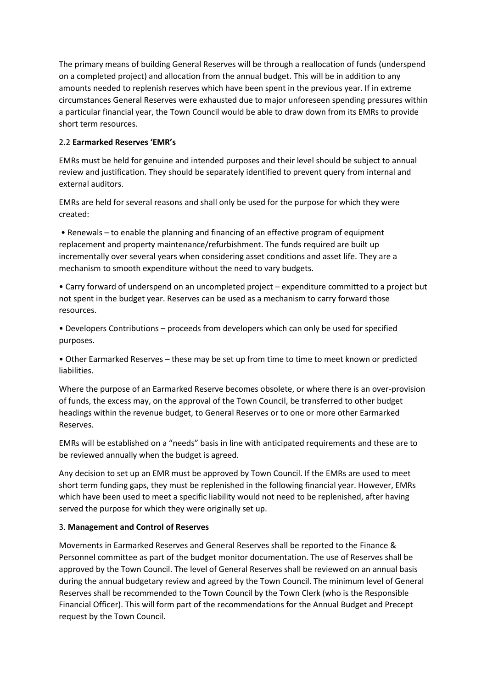The primary means of building General Reserves will be through a reallocation of funds (underspend on a completed project) and allocation from the annual budget. This will be in addition to any amounts needed to replenish reserves which have been spent in the previous year. If in extreme circumstances General Reserves were exhausted due to major unforeseen spending pressures within a particular financial year, the Town Council would be able to draw down from its EMRs to provide short term resources.

# 2.2 **Earmarked Reserves 'EMR's**

EMRs must be held for genuine and intended purposes and their level should be subject to annual review and justification. They should be separately identified to prevent query from internal and external auditors.

EMRs are held for several reasons and shall only be used for the purpose for which they were created:

• Renewals – to enable the planning and financing of an effective program of equipment replacement and property maintenance/refurbishment. The funds required are built up incrementally over several years when considering asset conditions and asset life. They are a mechanism to smooth expenditure without the need to vary budgets.

• Carry forward of underspend on an uncompleted project – expenditure committed to a project but not spent in the budget year. Reserves can be used as a mechanism to carry forward those resources.

• Developers Contributions – proceeds from developers which can only be used for specified purposes.

• Other Earmarked Reserves – these may be set up from time to time to meet known or predicted liabilities.

Where the purpose of an Earmarked Reserve becomes obsolete, or where there is an over-provision of funds, the excess may, on the approval of the Town Council, be transferred to other budget headings within the revenue budget, to General Reserves or to one or more other Earmarked Reserves.

EMRs will be established on a "needs" basis in line with anticipated requirements and these are to be reviewed annually when the budget is agreed.

Any decision to set up an EMR must be approved by Town Council. If the EMRs are used to meet short term funding gaps, they must be replenished in the following financial year. However, EMRs which have been used to meet a specific liability would not need to be replenished, after having served the purpose for which they were originally set up.

# 3. **Management and Control of Reserves**

Movements in Earmarked Reserves and General Reserves shall be reported to the Finance & Personnel committee as part of the budget monitor documentation. The use of Reserves shall be approved by the Town Council. The level of General Reserves shall be reviewed on an annual basis during the annual budgetary review and agreed by the Town Council. The minimum level of General Reserves shall be recommended to the Town Council by the Town Clerk (who is the Responsible Financial Officer). This will form part of the recommendations for the Annual Budget and Precept request by the Town Council.